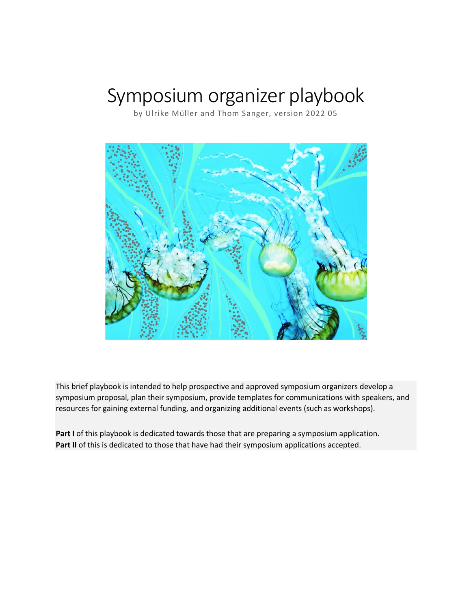# Symposium organizer playbook

by Ulrike Müller and Thom Sanger, version 2022 05



This brief playbook is intended to help prospective and approved symposium organizers develop a symposium proposal, plan their symposium, provide templates for communications with speakers, and resources for gaining external funding, and organizing additional events (such as workshops).

**Part I** of this playbook is dedicated towards those that are preparing a symposium application. Part II of this is dedicated to those that have had their symposium applications accepted.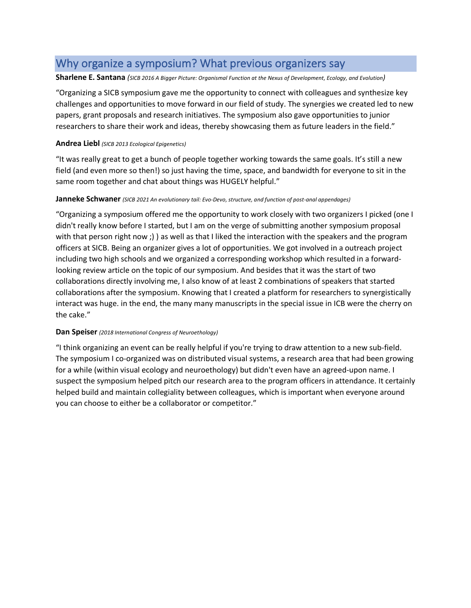# Why organize a symposium? What previous organizers say

#### **Sharlene E. Santana** *(SICB 2016 A Bigger Picture: Organismal Function at the Nexus of Development, Ecology, and Evolution)*

"Organizing a SICB symposium gave me the opportunity to connect with colleagues and synthesize key challenges and opportunities to move forward in our field of study. The synergies we created led to new papers, grant proposals and research initiatives. The symposium also gave opportunities to junior researchers to share their work and ideas, thereby showcasing them as future leaders in the field."

#### **Andrea Liebl** *(SICB 2013 Ecological Epigenetics)*

"It was really great to get a bunch of people together working towards the same goals. It's still a new field (and even more so then!) so just having the time, space, and bandwidth for everyone to sit in the same room together and chat about things was HUGELY helpful."

#### **Janneke Schwaner** *(SICB 2021 An evolutionary tail: Evo-Devo, structure, and function of post-anal appendages)*

"Organizing a symposium offered me the opportunity to work closely with two organizers I picked (one I didn't really know before I started, but I am on the verge of submitting another symposium proposal with that person right now ;) ) as well as that I liked the interaction with the speakers and the program officers at SICB. Being an organizer gives a lot of opportunities. We got involved in a outreach project including two high schools and we organized a corresponding workshop which resulted in a forwardlooking review article on the topic of our symposium. And besides that it was the start of two collaborations directly involving me, I also know of at least 2 combinations of speakers that started collaborations after the symposium. Knowing that I created a platform for researchers to synergistically interact was huge. in the end, the many many manuscripts in the special issue in ICB were the cherry on the cake."

#### **Dan Speiser** *(2018 International Congress of Neuroethology)*

"I think organizing an event can be really helpful if you're trying to draw attention to a new sub-field. The symposium I co-organized was on distributed visual systems, a research area that had been growing for a while (within visual ecology and neuroethology) but didn't even have an agreed-upon name. I suspect the symposium helped pitch our research area to the program officers in attendance. It certainly helped build and maintain collegiality between colleagues, which is important when everyone around you can choose to either be a collaborator or competitor."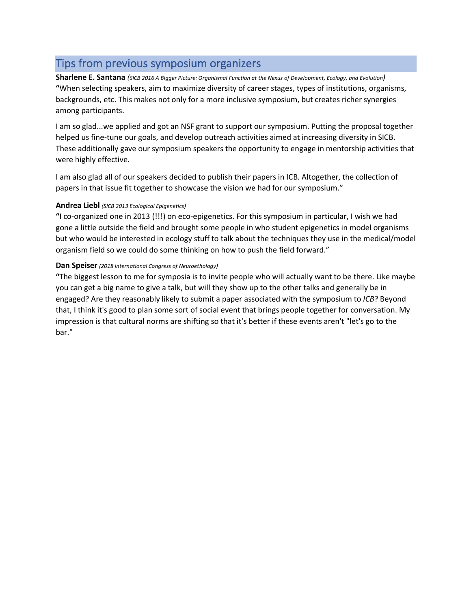# Tips from previous symposium organizers

**Sharlene E. Santana** *(SICB 2016 A Bigger Picture: Organismal Function at the Nexus of Development, Ecology, and Evolution)* **"**When selecting speakers, aim to maximize diversity of career stages, types of institutions, organisms, backgrounds, etc. This makes not only for a more inclusive symposium, but creates richer synergies among participants.

I am so glad...we applied and got an NSF grant to support our symposium. Putting the proposal together helped us fine-tune our goals, and develop outreach activities aimed at increasing diversity in SICB. These additionally gave our symposium speakers the opportunity to engage in mentorship activities that were highly effective.

I am also glad all of our speakers decided to publish their papers in ICB. Altogether, the collection of papers in that issue fit together to showcase the vision we had for our symposium."

#### **Andrea Liebl** *(SICB 2013 Ecological Epigenetics)*

**"**I co-organized one in 2013 (!!!) on eco-epigenetics. For this symposium in particular, I wish we had gone a little outside the field and brought some people in who student epigenetics in model organisms but who would be interested in ecology stuff to talk about the techniques they use in the medical/model organism field so we could do some thinking on how to push the field forward."

#### **Dan Speiser** *(2018 International Congress of Neuroethology)*

**"**The biggest lesson to me for symposia is to invite people who will actually want to be there. Like maybe you can get a big name to give a talk, but will they show up to the other talks and generally be in engaged? Are they reasonably likely to submit a paper associated with the symposium to *ICB*? Beyond that, I think it's good to plan some sort of social event that brings people together for conversation. My impression is that cultural norms are shifting so that it's better if these events aren't "let's go to the bar."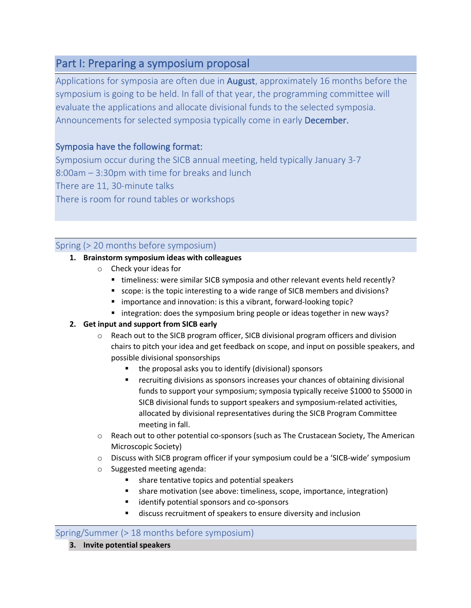# Part I: Preparing a symposium proposal

Applications for symposia are often due in **August**, approximately 16 months before the symposium is going to be held. In fall of that year, the programming committee will evaluate the applications and allocate divisional funds to the selected symposia. Announcements for selected symposia typically come in early December.

# Symposia have the following format:

Symposium occur during the SICB annual meeting, held typically January 3-7 8:00am – 3:30pm with time for breaks and lunch There are 11, 30-minute talks There is room for round tables or workshops

# Spring (> 20 months before symposium)

# **1. Brainstorm symposium ideas with colleagues**

- o Check your ideas for
	- timeliness: were similar SICB symposia and other relevant events held recently?
	- scope: is the topic interesting to a wide range of SICB members and divisions?
	- importance and innovation: is this a vibrant, forward-looking topic?
	- integration: does the symposium bring people or ideas together in new ways?

# **2. Get input and support from SICB early**

- o Reach out to the SICB program officer, SICB divisional program officers and division chairs to pitch your idea and get feedback on scope, and input on possible speakers, and possible divisional sponsorships
	- the proposal asks you to identify (divisional) sponsors
	- recruiting divisions as sponsors increases your chances of obtaining divisional funds to support your symposium; symposia typically receive \$1000 to \$5000 in SICB divisional funds to support speakers and symposium-related activities, allocated by divisional representatives during the SICB Program Committee meeting in fall.
- $\circ$  Reach out to other potential co-sponsors (such as The Crustacean Society, The American Microscopic Society)
- o Discuss with SICB program officer if your symposium could be a 'SICB-wide' symposium
- o Suggested meeting agenda:
	- § share tentative topics and potential speakers
	- share motivation (see above: timeliness, scope, importance, integration)
	- identify potential sponsors and co-sponsors
	- discuss recruitment of speakers to ensure diversity and inclusion

# Spring/Summer (> 18 months before symposium)

**3. Invite potential speakers**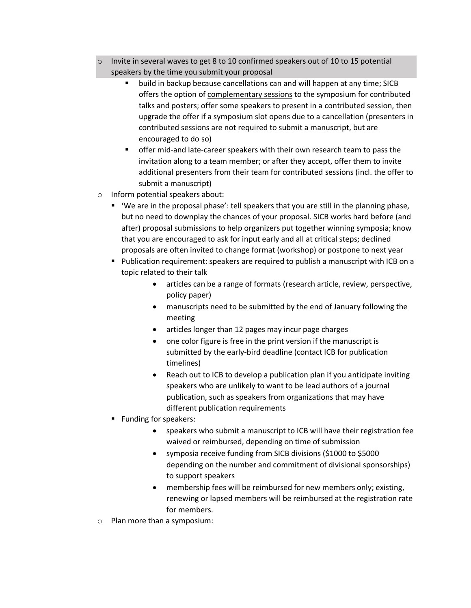- $\circ$  Invite in several waves to get 8 to 10 confirmed speakers out of 10 to 15 potential speakers by the time you submit your proposal
	- build in backup because cancellations can and will happen at any time; SICB offers the option of complementary sessions to the symposium for contributed talks and posters; offer some speakers to present in a contributed session, then upgrade the offer if a symposium slot opens due to a cancellation (presenters in contributed sessions are not required to submit a manuscript, but are encouraged to do so)
	- § offer mid-and late-career speakers with their own research team to pass the invitation along to a team member; or after they accept, offer them to invite additional presenters from their team for contributed sessions (incl. the offer to submit a manuscript)
- o Inform potential speakers about:
	- 'We are in the proposal phase': tell speakers that you are still in the planning phase, but no need to downplay the chances of your proposal. SICB works hard before (and after) proposal submissions to help organizers put together winning symposia; know that you are encouraged to ask for input early and all at critical steps; declined proposals are often invited to change format (workshop) or postpone to next year
	- Publication requirement: speakers are required to publish a manuscript with ICB on a topic related to their talk
		- articles can be a range of formats (research article, review, perspective, policy paper)
		- manuscripts need to be submitted by the end of January following the meeting
		- articles longer than 12 pages may incur page charges
		- one color figure is free in the print version if the manuscript is submitted by the early-bird deadline (contact ICB for publication timelines)
		- Reach out to ICB to develop a publication plan if you anticipate inviting speakers who are unlikely to want to be lead authors of a journal publication, such as speakers from organizations that may have different publication requirements
	- Funding for speakers:
		- speakers who submit a manuscript to ICB will have their registration fee waived or reimbursed, depending on time of submission
		- symposia receive funding from SICB divisions (\$1000 to \$5000 depending on the number and commitment of divisional sponsorships) to support speakers
		- membership fees will be reimbursed for new members only; existing, renewing or lapsed members will be reimbursed at the registration rate for members.
- o Plan more than a symposium: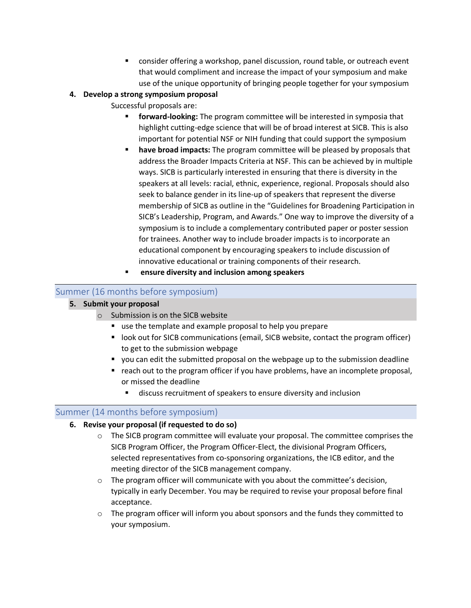■ consider offering a workshop, panel discussion, round table, or outreach event that would compliment and increase the impact of your symposium and make use of the unique opportunity of bringing people together for your symposium

# **4. Develop a strong symposium proposal**

Successful proposals are:

- **forward-looking:** The program committee will be interested in symposia that highlight cutting-edge science that will be of broad interest at SICB. This is also important for potential NSF or NIH funding that could support the symposium
- § **have broad impacts:** The program committee will be pleased by proposals that address the Broader Impacts Criteria at NSF. This can be achieved by in multiple ways. SICB is particularly interested in ensuring that there is diversity in the speakers at all levels: racial, ethnic, experience, regional. Proposals should also seek to balance gender in its line-up of speakers that represent the diverse membership of SICB as outline in the "Guidelines for Broadening Participation in SICB's Leadership, Program, and Awards." One way to improve the diversity of a symposium is to include a complementary contributed paper or poster session for trainees. Another way to include broader impacts is to incorporate an educational component by encouraging speakers to include discussion of innovative educational or training components of their research.
- § **ensure diversity and inclusion among speakers**

# Summer (16 months before symposium)

# **5. Submit your proposal**

- o Submission is on the SICB website
	- use the template and example proposal to help you prepare
	- look out for SICB communications (email, SICB website, contact the program officer) to get to the submission webpage
	- § you can edit the submitted proposal on the webpage up to the submission deadline
	- reach out to the program officer if you have problems, have an incomplete proposal, or missed the deadline
		- discuss recruitment of speakers to ensure diversity and inclusion

# Summer (14 months before symposium)

# **6. Revise your proposal (if requested to do so)**

- $\circ$  The SICB program committee will evaluate your proposal. The committee comprises the SICB Program Officer, the Program Officer-Elect, the divisional Program Officers, selected representatives from co-sponsoring organizations, the ICB editor, and the meeting director of the SICB management company.
- $\circ$  The program officer will communicate with you about the committee's decision, typically in early December. You may be required to revise your proposal before final acceptance.
- $\circ$  The program officer will inform you about sponsors and the funds they committed to your symposium.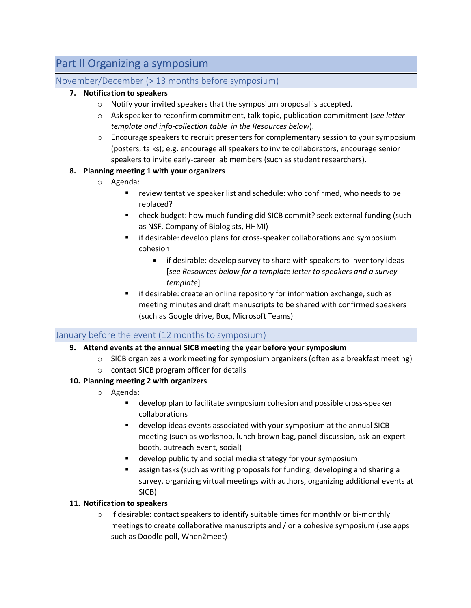# Part II Organizing a symposium

# November/December (> 13 months before symposium)

# **7. Notification to speakers**

- o Notify your invited speakers that the symposium proposal is accepted.
- o Ask speaker to reconfirm commitment, talk topic, publication commitment (*see letter template and info-collection table in the Resources below*).
- o Encourage speakers to recruit presenters for complementary session to your symposium (posters, talks); e.g. encourage all speakers to invite collaborators, encourage senior speakers to invite early-career lab members (such as student researchers).

# **8. Planning meeting 1 with your organizers**

- o Agenda:
	- review tentative speaker list and schedule: who confirmed, who needs to be replaced?
	- check budget: how much funding did SICB commit? seek external funding (such as NSF, Company of Biologists, HHMI)
	- **•** if desirable: develop plans for cross-speaker collaborations and symposium cohesion
		- if desirable: develop survey to share with speakers to inventory ideas [*see Resources below for a template letter to speakers and a survey template*]
	- if desirable: create an online repository for information exchange, such as meeting minutes and draft manuscripts to be shared with confirmed speakers (such as Google drive, Box, Microsoft Teams)

# January before the event (12 months to symposium)

# **9. Attend events at the annual SICB meeting the year before your symposium**

- $\circ$  SICB organizes a work meeting for symposium organizers (often as a breakfast meeting)
- o contact SICB program officer for details

# **10. Planning meeting 2 with organizers**

- o Agenda:
	- develop plan to facilitate symposium cohesion and possible cross-speaker collaborations
	- § develop ideas events associated with your symposium at the annual SICB meeting (such as workshop, lunch brown bag, panel discussion, ask-an-expert booth, outreach event, social)
	- develop publicity and social media strategy for your symposium
	- assign tasks (such as writing proposals for funding, developing and sharing a survey, organizing virtual meetings with authors, organizing additional events at SICB)

# **11. Notification to speakers**

 $\circ$  If desirable: contact speakers to identify suitable times for monthly or bi-monthly meetings to create collaborative manuscripts and / or a cohesive symposium (use apps such as Doodle poll, When2meet)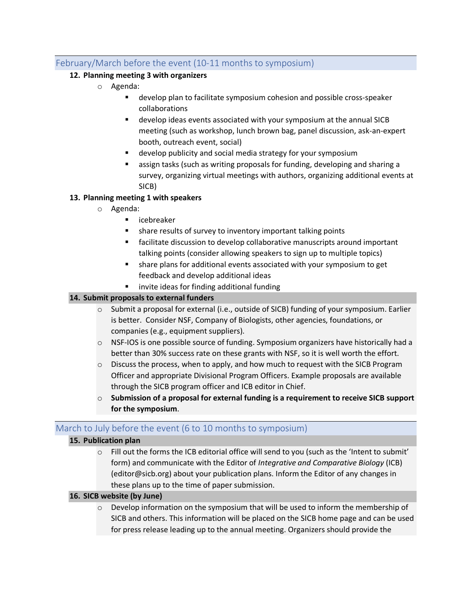# February/March before the event (10-11 months to symposium)

# **12. Planning meeting 3 with organizers**

- o Agenda:
	- develop plan to facilitate symposium cohesion and possible cross-speaker collaborations
	- develop ideas events associated with your symposium at the annual SICB meeting (such as workshop, lunch brown bag, panel discussion, ask-an-expert booth, outreach event, social)
	- develop publicity and social media strategy for your symposium
	- assign tasks (such as writing proposals for funding, developing and sharing a survey, organizing virtual meetings with authors, organizing additional events at SICB)

#### **13. Planning meeting 1 with speakers**

- o Agenda:
	- icebreaker
	- share results of survey to inventory important talking points
	- facilitate discussion to develop collaborative manuscripts around important talking points (consider allowing speakers to sign up to multiple topics)
	- share plans for additional events associated with your symposium to get feedback and develop additional ideas
	- invite ideas for finding additional funding

#### **14. Submit proposals to external funders**

- $\circ$  Submit a proposal for external (i.e., outside of SICB) funding of your symposium. Earlier is better. Consider NSF, Company of Biologists, other agencies, foundations, or companies (e.g., equipment suppliers).
- o NSF-IOS is one possible source of funding. Symposium organizers have historically had a better than 30% success rate on these grants with NSF, so it is well worth the effort.
- $\circ$  Discuss the process, when to apply, and how much to request with the SICB Program Officer and appropriate Divisional Program Officers. Example proposals are available through the SICB program officer and ICB editor in Chief.
- o **Submission of a proposal for external funding is a requirement to receive SICB support for the symposium**.

# March to July before the event (6 to 10 months to symposium)

#### **15. Publication plan**

 $\circ$  Fill out the forms the ICB editorial office will send to you (such as the 'Intent to submit' form) and communicate with the Editor of *Integrative and Comparative Biology* (ICB) (editor@sicb.org) about your publication plans. Inform the Editor of any changes in these plans up to the time of paper submission.

#### **16. SICB website (by June)**

 $\circ$  Develop information on the symposium that will be used to inform the membership of SICB and others. This information will be placed on the SICB home page and can be used for press release leading up to the annual meeting. Organizers should provide the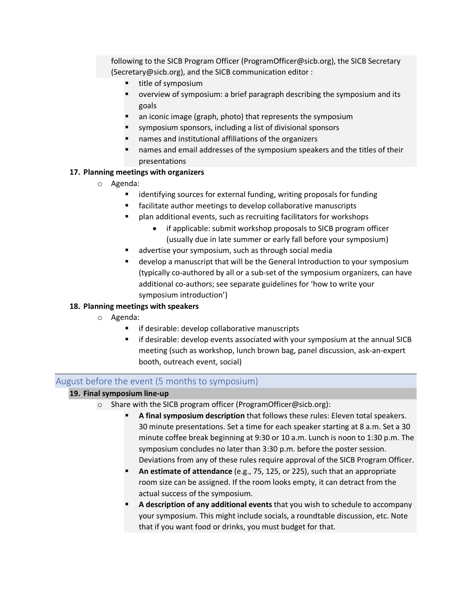following to the SICB Program Officer (ProgramOfficer@sicb.org), the SICB Secretary (Secretary@sicb.org), and the SICB communication editor :

- title of symposium
- § overview of symposium: a brief paragraph describing the symposium and its goals
- an iconic image (graph, photo) that represents the symposium
- symposium sponsors, including a list of divisional sponsors
- names and institutional affiliations of the organizers
- § names and email addresses of the symposium speakers and the titles of their presentations

#### **17. Planning meetings with organizers**

- o Agenda:
	- identifying sources for external funding, writing proposals for funding
	- facilitate author meetings to develop collaborative manuscripts
	- plan additional events, such as recruiting facilitators for workshops
		- if applicable: submit workshop proposals to SICB program officer (usually due in late summer or early fall before your symposium)
	- advertise your symposium, such as through social media
	- develop a manuscript that will be the General Introduction to your symposium (typically co-authored by all or a sub-set of the symposium organizers, can have additional co-authors; see separate guidelines for 'how to write your symposium introduction')

#### **18. Planning meetings with speakers**

- o Agenda:
	- if desirable: develop collaborative manuscripts
	- **EXTED** if desirable: develop events associated with your symposium at the annual SICB meeting (such as workshop, lunch brown bag, panel discussion, ask-an-expert booth, outreach event, social)

# August before the event (5 months to symposium)

#### **19. Final symposium line-up**

- o Share with the SICB program officer (ProgramOfficer@sicb.org):
	- § **A final symposium description** that follows these rules: Eleven total speakers. 30 minute presentations. Set a time for each speaker starting at 8 a.m. Set a 30 minute coffee break beginning at 9:30 or 10 a.m. Lunch is noon to 1:30 p.m. The symposium concludes no later than 3:30 p.m. before the poster session. Deviations from any of these rules require approval of the SICB Program Officer.
	- § **An estimate of attendance** (e.g., 75, 125, or 225), such that an appropriate room size can be assigned. If the room looks empty, it can detract from the actual success of the symposium.
	- § **A description of any additional events** that you wish to schedule to accompany your symposium. This might include socials, a roundtable discussion, etc. Note that if you want food or drinks, you must budget for that.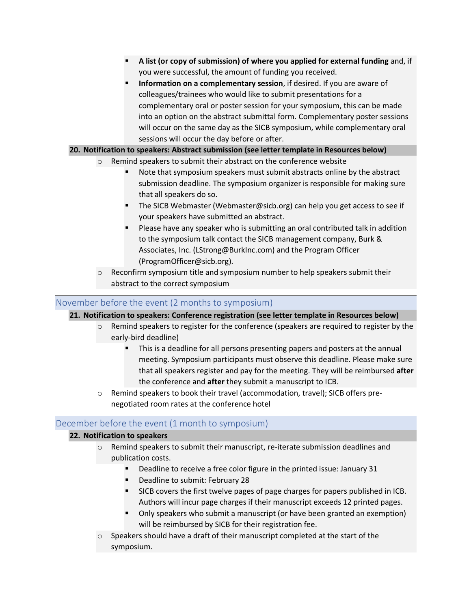- § **A list (or copy of submission) of where you applied for external funding** and, if you were successful, the amount of funding you received.
- § **Information on a complementary session**, if desired. If you are aware of colleagues/trainees who would like to submit presentations for a complementary oral or poster session for your symposium, this can be made into an option on the abstract submittal form. Complementary poster sessions will occur on the same day as the SICB symposium, while complementary oral sessions will occur the day before or after.

#### **20. Notification to speakers: Abstract submission (see letter template in Resources below)**

- o Remind speakers to submit their abstract on the conference website
	- Note that symposium speakers must submit abstracts online by the abstract submission deadline. The symposium organizer is responsible for making sure that all speakers do so.
	- The SICB Webmaster (Webmaster@sicb.org) can help you get access to see if your speakers have submitted an abstract.
	- Please have any speaker who is submitting an oral contributed talk in addition to the symposium talk contact the SICB management company, Burk & Associates, Inc. (LStrong@BurkInc.com) and the Program Officer (ProgramOfficer@sicb.org).
- o Reconfirm symposium title and symposium number to help speakers submit their abstract to the correct symposium

#### November before the event (2 months to symposium)

**21. Notification to speakers: Conference registration (see letter template in Resources below)**

- $\circ$  Remind speakers to register for the conference (speakers are required to register by the early-bird deadline)
	- § This is a deadline for all persons presenting papers and posters at the annual meeting. Symposium participants must observe this deadline. Please make sure that all speakers register and pay for the meeting. They will be reimbursed **after** the conference and **after** they submit a manuscript to ICB.
- o Remind speakers to book their travel (accommodation, travel); SICB offers prenegotiated room rates at the conference hotel

# December before the event (1 month to symposium)

#### **22. Notification to speakers**

- $\circ$  Remind speakers to submit their manuscript, re-iterate submission deadlines and publication costs.
	- § Deadline to receive a free color figure in the printed issue: January 31
	- § Deadline to submit: February 28
	- § SICB covers the first twelve pages of page charges for papers published in ICB. Authors will incur page charges if their manuscript exceeds 12 printed pages.
	- § Only speakers who submit a manuscript (or have been granted an exemption) will be reimbursed by SICB for their registration fee.
- o Speakers should have a draft of their manuscript completed at the start of the symposium.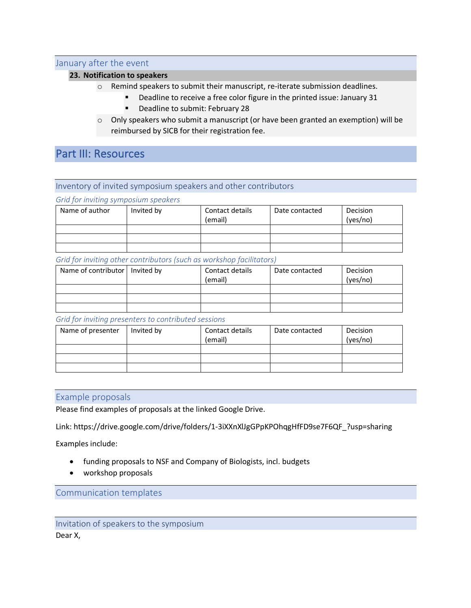#### January after the event

#### **23. Notification to speakers**

- o Remind speakers to submit their manuscript, re-iterate submission deadlines.
	- § Deadline to receive a free color figure in the printed issue: January 31
	- § Deadline to submit: February 28
- $\circ$  Only speakers who submit a manuscript (or have been granted an exemption) will be reimbursed by SICB for their registration fee.

# Part III: Resources

#### Inventory of invited symposium speakers and other contributors

*Grid for inviting symposium speakers*

| Name of author | Invited by | Contact details<br>(email) | Date contacted | Decision<br>(yes/no) |
|----------------|------------|----------------------------|----------------|----------------------|
|                |            |                            |                |                      |
|                |            |                            |                |                      |
|                |            |                            |                |                      |

#### *Grid for inviting other contributors (such as workshop facilitators)*

| Name of contributor   Invited by | Contact details<br>(email) | Date contacted | Decision<br>(yes/no) |
|----------------------------------|----------------------------|----------------|----------------------|
|                                  |                            |                |                      |
|                                  |                            |                |                      |
|                                  |                            |                |                      |

#### *Grid for inviting presenters to contributed sessions*

| Name of presenter | Invited by | Contact details<br>(email) | Date contacted | Decision<br>(yes/no) |
|-------------------|------------|----------------------------|----------------|----------------------|
|                   |            |                            |                |                      |
|                   |            |                            |                |                      |
|                   |            |                            |                |                      |

#### Example proposals

Please find examples of proposals at the linked Google Drive.

Link: https://drive.google.com/drive/folders/1-3iXXnXlJgGPpKPOhqgHfFD9se7F6QF\_?usp=sharing

Examples include:

- funding proposals to NSF and Company of Biologists, incl. budgets
- workshop proposals

Communication templates

Invitation of speakers to the symposium Dear X,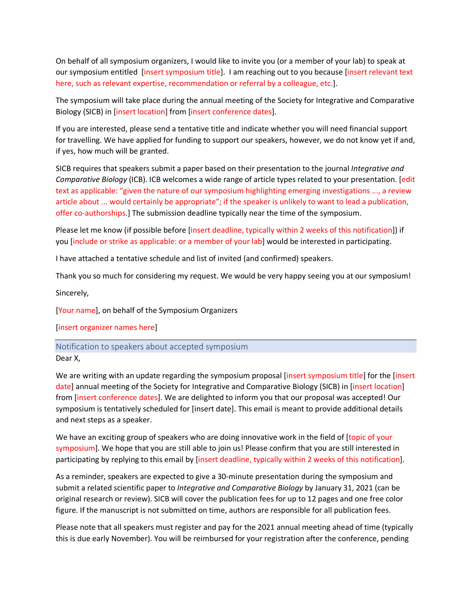On behalf of all symposium organizers, I would like to invite you (or a member of your lab) to speak at our symposium entitled [insert symposium title]. I am reaching out to you because [insert relevant text here, such as relevant expertise, recommendation or referral by a colleague, etc.].

The symposium will take place during the annual meeting of the Society for Integrative and Comparative Biology (SICB) in [insert location] from [insert conference dates].

If you are interested, please send a tentative title and indicate whether you will need financial support for travelling. We have applied for funding to support our speakers, however, we do not know yet if and, if yes, how much will be granted.

SICB requires that speakers submit a paper based on their presentation to the journal *Integrative and Comparative Biology* (ICB). ICB welcomes a wide range of article types related to your presentation. [edit text as applicable: "given the nature of our symposium highlighting emerging investigations ..., a review article about ... would certainly be appropriate"; if the speaker is unlikely to want to lead a publication, offer co-authorships.] The submission deadline typically near the time of the symposium.

Please let me know (if possible before [insert deadline, typically within 2 weeks of this notification]) if you [include or strike as applicable: or a member of your lab] would be interested in participating.

I have attached a tentative schedule and list of invited (and confirmed) speakers.

Thank you so much for considering my request. We would be very happy seeing you at our symposium!

Sincerely,

[Your name], on behalf of the Symposium Organizers

[insert organizer names here]

Notification to speakers about accepted symposium

Dear X,

We are writing with an update regarding the symposium proposal [insert symposium title] for the [insert date] annual meeting of the Society for Integrative and Comparative Biology (SICB) in [insert location] from [insert conference dates]. We are delighted to inform you that our proposal was accepted! Our symposium is tentatively scheduled for [insert date]. This email is meant to provide additional details and next steps as a speaker.

We have an exciting group of speakers who are doing innovative work in the field of [topic of your symposium]. We hope that you are still able to join us! Please confirm that you are still interested in participating by replying to this email by [insert deadline, typically within 2 weeks of this notification].

As a reminder, speakers are expected to give a 30-minute presentation during the symposium and submit a related scientific paper to *Integrative and Comparative Biology* by January 31, 2021 (can be original research or review). SICB will cover the publication fees for up to 12 pages and one free color figure. If the manuscript is not submitted on time, authors are responsible for all publication fees.

Please note that all speakers must register and pay for the 2021 annual meeting ahead of time (typically this is due early November). You will be reimbursed for your registration after the conference, pending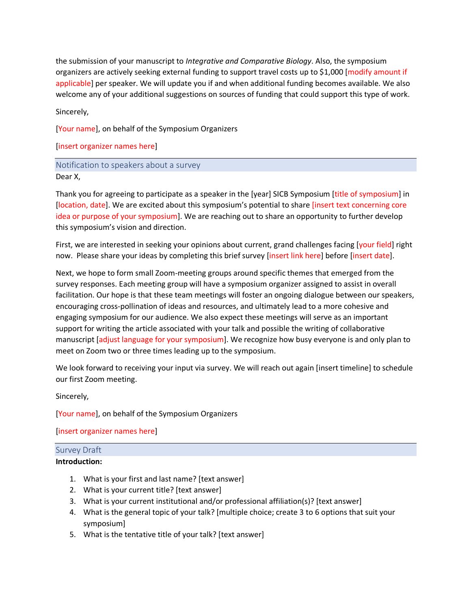the submission of your manuscript to *Integrative and Comparative Biology*. Also, the symposium organizers are actively seeking external funding to support travel costs up to \$1,000 [modify amount if applicable] per speaker. We will update you if and when additional funding becomes available. We also welcome any of your additional suggestions on sources of funding that could support this type of work.

Sincerely,

[Your name], on behalf of the Symposium Organizers

[insert organizer names here]

#### Notification to speakers about a survey Dear X,

Thank you for agreeing to participate as a speaker in the [year] SICB Symposium [title of symposium] in [location, date]. We are excited about this symposium's potential to share [insert text concerning core idea or purpose of your symposium]. We are reaching out to share an opportunity to further develop this symposium's vision and direction.

First, we are interested in seeking your opinions about current, grand challenges facing [your field] right now. Please share your ideas by completing this brief survey [insert link here] before [insert date].

Next, we hope to form small Zoom-meeting groups around specific themes that emerged from the survey responses. Each meeting group will have a symposium organizer assigned to assist in overall facilitation. Our hope is that these team meetings will foster an ongoing dialogue between our speakers, encouraging cross-pollination of ideas and resources, and ultimately lead to a more cohesive and engaging symposium for our audience. We also expect these meetings will serve as an important support for writing the article associated with your talk and possible the writing of collaborative manuscript [adjust language for your symposium]. We recognize how busy everyone is and only plan to meet on Zoom two or three times leading up to the symposium.

We look forward to receiving your input via survey. We will reach out again [insert timeline] to schedule our first Zoom meeting.

Sincerely,

[Your name], on behalf of the Symposium Organizers

[insert organizer names here]

# Survey Draft

#### **Introduction:**

- 1. What is your first and last name? [text answer]
- 2. What is your current title? [text answer]
- 3. What is your current institutional and/or professional affiliation(s)? [text answer]
- 4. What is the general topic of your talk? [multiple choice; create 3 to 6 options that suit your symposium]
- 5. What is the tentative title of your talk? [text answer]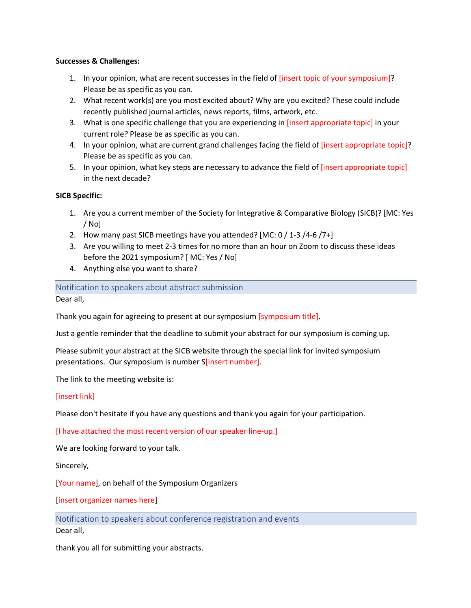#### **Successes & Challenges:**

- 1. In your opinion, what are recent successes in the field of [insert topic of your symposium]? Please be as specific as you can.
- 2. What recent work(s) are you most excited about? Why are you excited? These could include recently published journal articles, news reports, films, artwork, etc.
- 3. What is one specific challenge that you are experiencing in [insert appropriate topic] in your current role? Please be as specific as you can.
- 4. In your opinion, what are current grand challenges facing the field of [insert appropriate topic]? Please be as specific as you can.
- 5. In your opinion, what key steps are necessary to advance the field of [insert appropriate topic] in the next decade?

#### **SICB Specific:**

- 1. Are you a current member of the Society for Integrative & Comparative Biology (SICB)? [MC: Yes / No]
- 2. How many past SICB meetings have you attended? [MC: 0 / 1-3 /4-6 /7+]
- 3. Are you willing to meet 2-3 times for no more than an hour on Zoom to discuss these ideas before the 2021 symposium? [ MC: Yes / No]
- 4. Anything else you want to share?

Notification to speakers about abstract submission

Dear all,

Thank you again for agreeing to present at our symposium [symposium title].

Just a gentle reminder that the deadline to submit your abstract for our symposium is coming up.

Please submit your abstract at the SICB website through the special link for invited symposium presentations. Our symposium is number S[insert number].

The link to the meeting website is:

#### [insert link]

Please don't hesitate if you have any questions and thank you again for your participation.

[I have attached the most recent version of our speaker line-up.]

We are looking forward to your talk.

Sincerely,

[Your name], on behalf of the Symposium Organizers

[insert organizer names here]

Notification to speakers about conference registration and events Dear all,

thank you all for submitting your abstracts.